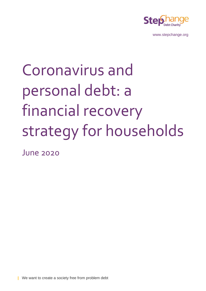

[www.stepchange.org](http://www.stepchange.org/)

# Coronavirus and personal debt: a financial recovery strategy for households

June 2020

**|** We want to create a society free from problem debt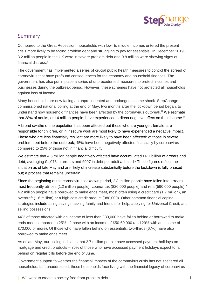

# Summary

Compared to the Great Recession, households with low- to middle-incomes entered the present crisis more likely to be facing problem debt and struggling to pay for essentials.<sup>i</sup> In December 2019, 3.2 million people in the UK were in severe problem debt and 9.8 million were showing signs of financial distress. ii

The government has implemented a series of crucial public health measures to control the spread of coronavirus that have profound consequences for the economy and household finances. The government has also put in place a series of unprecedented measures to protect incomes and businesses during the outbreak period. However, these schemes have not protected all households against loss of income.

Many households are now facing an unprecedented and prolonged income shock. StepChange commissioned national polling at the end of May, two months after the lockdown period began, to understand how household finances have been affected by the coronavirus outbreak.<sup>iii</sup> We estimate that 28% of adults, or 14 million people, have experienced a direct negative effect on their income.<sup>iv</sup>

A broad swathe of the population has been affected but those who are younger, female, are responsible for children, or in insecure work are most likely to have experienced a negative impact. Those who are less financially resilient are more likely to have been affected: of those in severe problem debt before the outbreak, 45% have been negatively affected financially by coronavirus compared to 25% of those not in financial difficulty.

We estimate that 4.6 million people negatively affected have accumulated £6.1 billion of arrears and debt, averaging £1,076 in arrears and £997 in debt per adult affected. These figures reflect the situation as of late May and are likely of increase substantially before the lockdown is fully phased out; a process that remains uncertain.

Since the beginning of the coronavirus lockdown period, 2.8 million people have fallen into arrears: most frequently utilities (1.2 million people), council tax (820,000 people) and rent (590,000 people).<sup>vi</sup> 4.2 million people have borrowed to make ends meet, most often using a credit card (1.7 million), an overdraft (1.6 million) or a high cost credit product (980,000). Other common financial coping strategies include using savings, asking family and friends for help, applying for Universal Credit, and selling possessions.

44% of those affected with an income of less than £30,000 have fallen behind or borrowed to make ends meet compared to 25% of those with an income of £50-60,000 (and 29% with an income of £70,000 or more). Of those who have fallen behind on essentials, two-thirds (67%) have also borrowed to make ends meet.

As of late May, our polling indicates that 2.7 million people have accessed payment holidays on mortgage and credit products – 36% of those who have accessed payment holidays expect to fall behind on regular bills before the end of June.

Government support to weather the financial impacts of the coronavirus crisis has not sheltered all households. Left unaddressed, these households face living with the financial legacy of coronavirus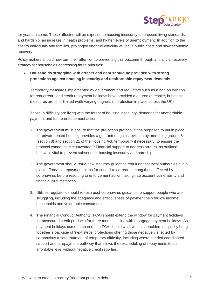

for years to come. Those affected will be exposed to housing insecurity, depressed living standards and hardship, an increase in health problems, and higher levels of unemployment. In addition to the cost to individuals and families, prolonged financial difficulty will have public costs and slow economic recovery.

Policy makers should now turn their attention to preventing this outcome through a financial recovery strategy for households addressing three priorities:

• **Households struggling with arrears and debt should be provided with strong protections against housing insecurity and unaffordable repayment demands**

Temporary measures implemented by government and regulators such as a ban on eviction for rent arrears and credit repayment holidays have provided a degree of respite, but these measures are time-limited (with varying degrees of protection in place across the UK).

Those in difficulty are living with the threat of housing insecurity, demands for unaffordable payment and future enforcement action.

- 1. The government must ensure that the pre-action protocol it has proposed to put in place for private rented housing provides a guarantee against eviction by amending ground 8 (section 8) and section 21 of the Housing Act, temporarily if necessary, to ensure the protocol cannot be circumvented.<sup>vii</sup> Financial support to address arrears, as outlined below, is vital to prevent subsequent housing insecurity and hardship.
- 2. The government should issue new statutory guidance requiring that local authorities put in place affordable repayment plans for council tax arrears among those affected by coronavirus before resorting to enforcement action, taking into account vulnerability and financial circumstances.
- 3. Utilities regulators should refresh post-coronavirus guidance to support people who are struggling, including the adequacy and effectiveness of payment help for low income households and vulnerable consumers.
- 4. The Financial Conduct Authority (FCA) should extend the window for payment holidays for unsecured credit products for three months in line with mortgage payment holidays. As payment holidays come to an end, the FCA should work with stakeholders to quickly bring together a package of 'next steps' protections offering those negatively affected by coronavirus a safe route out of temporary difficulty, including where needed coordinated support and a repayment pathway that allows the rescheduling of repayments to an affordable level without negative credit reporting.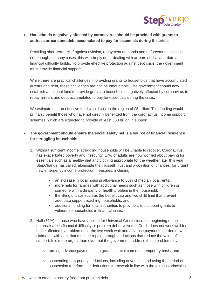

## • **Households negatively affected by coronavirus should be provided with grants to address arrears and debt accumulated to pay for essentials during the crisis**

Providing short-term relief against eviction, repayment demands and enforcement action is not enough. In many cases, this will simply defer dealing with arrears until a later date as financial difficulty builds. To provide effective protection against debt crisis, the government must provide financial support.

While there are practical challenges in providing grants to households that have accumulated arrears and debt, these challenges are not insurmountable. The government should now establish a national fund to provide grants to households negatively affected by coronavirus to repay arrears and debt accumulated to pay for essentials during the crisis.

We estimate that an effective fund would cost in the region of £5 billion. This funding would primarily benefit those who have not directly benefitted from the coronavirus income support schemes, which are expected to provide at least £50 billion in support.

## • **The government should ensure the social safety net is a source of financial resilience for struggling households**

- 1. Without sufficient income, struggling households will be unable to recover. Coronavirus has exacerbated poverty and insecurity: 17% of adults are now worried about paying for essentials such as a healthy diet and clothing appropriate for the weather later this year. StepChange has called, alongside the Trussell Trust and a coalition of charities, for urgent new emergency income protection measures, including:
	- an increase in local housing allowance to 50% of median local rents:
	- more help for families with additional needs such as those with children or someone with a disability or health problem in the household;
	- the lifting of caps such as the benefit cap and two child limit that prevent adequate support reaching households; and
	- additional funding for local authorities to provide crisis support grants to vulnerable households in financial crisis.
- 2. Half (51%) of those who have applied for Universal Credit since the beginning of the outbreak are in financial difficulty or problem debt. Universal Credit does not work well for those affected by problem debt: the five week wait and advance payments burden new claimants with debt that must be repaid through deductions that reduce the value of support. It is more urgent than ever that the government address these problems by:
	- $\circ$  turning advance payments into grants, at minimum on a temporary basis; and
	- $\circ$  suspending non-priority deductions, including advances, and using the period of suspension to reform the deductions framework in line with the fairness principles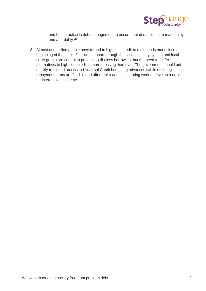

and best practice in debt management to ensure that deductions are made fairly and affordably.<sup>viii</sup>

3. Almost one million people have turned to high cost credit to make ends meet since the beginning of the crisis. Financial support through the social security system and local crisis grants are central to preventing distress borrowing, but the need for safer alternatives to high cost credit is more pressing than ever. The government should act quickly to extend access to Universal Credit budgeting advances (while ensuring repayment terms are flexible and affordable) and accelerating work to develop a national no-interest loan scheme.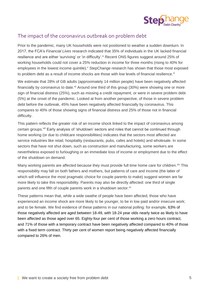

# The impact of the coronavirus outbreak on problem debt

Prior to the pandemic, many UK households were not positioned to weather a sudden downturn. In 2017, the FCA's *Financial Lives* research indicated that 35% of individuals in the UK lacked financial resilience and are either 'surviving' or 'in difficulty'.<sup>ix</sup> Recent ONS figures suggest around 25% of working households could not cover a 25% reduction in income for three months (rising to 40% for employees in the lowest income quintile).<sup>x</sup> StepChange research has shown that those most exposed to problem debt as a result of income shocks are those with low levels of financial resilience. $x_i$ 

We estimate that 28% of GB adults (approximately 14 million people) have been negatively affected financially by coronavirus to date.<sup>xii</sup> Around one third of this group (30%) were showing one or more sign of financial distress (25%), such as missing a credit repayment, or were in severe problem debt (5%) at the onset of the pandemic. Looked at from another perspective, of those in severe problem debt before the outbreak, 45% have been negatively affected financially by coronavirus. This compares to 40% of those showing signs of financial distress and 25% of those not in financial difficulty.

This pattern reflects the greater risk of an income shock linked to the impact of coronavirus among certain groups.<sup>xiii</sup> Early analysis of 'shutdown' sectors and roles that cannot be continued through home working (or due to childcare responsibilities) indicates that the sectors most affected are service industries like retail, hospitality (restaurants, pubs, cafes and hotels) and wholesale. In some sectors that have not shut down, such as construction and manufacturing, some workers are nevertheless exposed to furloughing or an immediate loss of income or employment due to the effect of the shutdown on demand.

Many working parents are affected because they must provide full time home care for children. Xiv This responsibility may fall on both fathers and mothers, but patterns of care and income (the latter of which will influence the most pragmatic choice for couple parents to make) suggest women are far more likely to take this responsibility. Parents may also be directly affected: one third of single parents and one fifth of couple parents work in a shutdown sector.<sup>xv</sup>

These patterns mean that, while a wide swathe of people have been affected, those who have experienced an income shock are more likely to be younger, to be in low paid and/or insecure work; and to be female. We find evidence of these patterns in our national polling: for example, 63% of those negatively affected are aged between 18-49, with 18-24 year olds nearly twice as likely to have been affected as those aged over 65. Eighty-four per cent of those working a zero hours contract, and 71% of those with a temporary contract have been negatively affected compared to 40% of those with a fixed term contract. Thirty per cent of women report being negatively affected financially compared to 26% of men.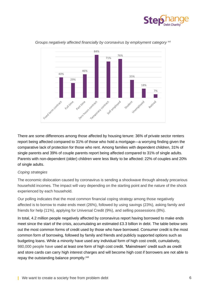



*Groups negatively affected financially by coronavirus by employment category* <sup>xvi</sup>

There are some differences among those affected by housing tenure: 36% of private sector renters report being affected compared to 31% of those who hold a mortgage—a worrying finding given the comparative lack of protection for those who rent. Among families with dependent children, 31% of single parents and 39% of couple parents report being affected compared to 31% of single adults. Parents with non-dependent (older) children were less likely to be affected: 22% of couples and 20% of single adults.

#### *Coping strategies*

The economic dislocation caused by coronavirus is sending a shockwave through already precarious household incomes. The impact will vary depending on the starting point and the nature of the shock experienced by each household.

Our polling indicates that the most common financial coping strategy among those negatively affected is to borrow to make ends meet (26%), followed by using savings (23%), asking family and friends for help (11%), applying for Universal Credit (9%), and selling possessions (8%).

In total, 4.2 million people negatively affected by coronavirus report having borrowed to make ends meet since the start of the crisis, accumulating an estimated £3.3 billion in debt. The table below sets out the most common forms of credit used by those who have borrowed. Consumer credit is the most common form of borrowing, followed by family and friends and publicly supported options such as budgeting loans. While a minority have used any individual form of high cost credit, cumulatively, 980,000 people have used at least one form of high cost credit. 'Mainstream' credit such as credit and store cards can carry high interest charges and will become high cost if borrowers are not able to repay the outstanding balance promptly.<sup>xvii</sup>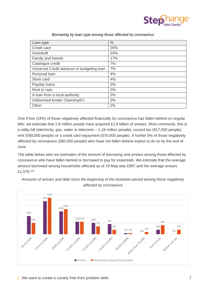

| Loan type                                  | $\%$ |
|--------------------------------------------|------|
| Credit card                                | 26%  |
| Overdraft                                  | 24%  |
| Family and friends                         | 17%  |
| Catalogue credit                           | 7%   |
| Universal Credit advance or budgeting loan | 7%   |
| Personal loan                              | 4%   |
| Store card                                 | 4%   |
| Payday loans                               | 2%   |
| Rent to own                                | 2%   |
| A loan from a local authority              | 2%   |
| Unlicensed lender ('loanshark')            | 2%   |
| Other                                      | 2%   |

#### *Borrowing by loan type among those affected by coronavirus*

One if five (19%) of those negatively affected financially by coronavirus has fallen behind on regular bills: we estimate that 2.8 million people have acquired £2.8 billion of arrears. Most commonly, this is a utility bill (electricity, gas, water or telecoms – 1.18 million people), council tax (817,000 people), rent (590,000 people) or a credit card repayment (570,000 people). A further 5% of those negatively affected by coronavirus (580,000 people) who have not fallen behind expect to do so by the end of June.

The table below sets out estimates of the amount of borrowing and arrears among those affected by coronavirus who have fallen behind or borrowed to pay for essentials. We estimate that the average amount borrowed among households affected as of 19 May was £997 and the average arrears £1,076.xviii



*Amounts of arrears and debt since the beginning of the lockdown period among those negatively affected by coronavirus*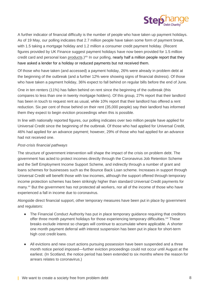

A further indicator of financial difficulty is the number of people who have taken up payment holidays. As of 19 May, our polling indicates that 2.7 million people have taken some form of payment break, with 1.5 taking a mortgage holiday and 1.2 million a consumer credit payment holiday. (Recent figures provided by UK Finance suggest payment holidays have now been provided for 1.5 million credit card and personal loan products.)<sup>xix</sup> In our polling, nearly half a million people report that they have asked a lender for a holiday or reduced payments but not received them.

Of those who have taken (and accessed) a payment holiday, 26% were already in problem debt at the beginning of the outbreak (and a further 12% were showing signs of financial distress). Of those who have taken a payment holiday, 36% expect to fall behind on regular bills before the end of June.

One in ten renters (11%) has fallen behind on rent since the beginning of the outbreak (this compares to less than one in twenty mortgage holders). Of this group, 27% report that their landlord has been in touch to request rent as usual, while 10% report that their landlord has offered a rent reduction. Six per cent of those behind on their rent (35,000 people) say their landlord has informed them they expect to begin eviction proceedings when this is possible.

In line with nationally reported figures, our polling indicates over two million people have applied for Universal Credit since the beginning of the outbreak. Of those who had applied for Universal Credit, 46% had applied for an advance payment; however, 29% of those who had applied for an advance had not received one.

#### *Post-crisis financial pathways*

The structure of government intervention will shape the impact of the crisis on problem debt. The government has acted to protect incomes directly through the Coronavirus Job Retention Scheme and the Self Employment Income Support Scheme, and indirectly through a number of grant and loans schemes for businesses such as the Bounce Back Loan scheme. Increases in support through Universal Credit will benefit those with low incomes, although the support offered through temporary income protection schemes has been strikingly higher than standard Universal Credit payments for many.<sup>xx</sup> But the government has not protected all workers, nor all of the income of those who have experienced a fall in income due to coronavirus.

Alongside direct financial support, other temporary measures have been put in place by government and regulators:

- The Financial Conduct Authority has put in place temporary guidance requiring that creditors offer three month payment holidays for those experiencing temporary difficulties.<sup>xxi</sup> These breaks exclude interest so charges will continue to accumulate where applicable. A shorter one month payment deferral *with* interest suspension has been put in place for short-term high cost credit loans.
- All evictions and new court actions pursuing possession have been suspended and a three month notice period imposed—further eviction proceedings could not occur until August at the earliest. (In Scotland, the notice period has been extended to six months where the reason for arrears relates to coronavirus.)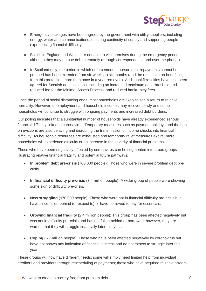

- Emergency packages have been agreed by the government with utility suppliers, including energy, water and communications, ensuring continuity of supply and supporting people experiencing financial difficulty.
- Bailiffs in England and Wales are not able to visit premises during the emergency period, although they may pursue debts remotely (through correspondence and over the phone.)
- In Scotland only, the period in which enforcement to pursue debt repayments cannot be pursued has been extended from six weeks to six months (and the restriction on benefitting from this protection more than once in a year removed). Additional flexibilities have also been agreed for Scottish debt solutions, including an increased maximum debt threshold and reduced fee for the Minimal Assets Process, and reduced bankruptcy fees.

Once the period of social distancing ends, most households are likely to see a return to relative normality. However, unemployment and household incomes may recover slowly and some households will continue to struggle with ongoing payments and increased debt burdens.

Our polling indicates that a substantial number of households have already experienced serious financial difficulty linked to coronavirus. Temporary measures such as payment holidays and the ban on evictions are also delaying and disrupting the transmission of income shocks into financial difficulty. As household resources are exhausted and temporary relief measures expire, more households will experience difficulty or an increase in the severity of financial problems.

Those who have been negatively affected by coronavirus can be segmented into broad groups illustrating relative financial fragility and potential future pathways:

- **In problem debt pre-crisis** (700,000 people): Those who were in severe problem debt precrisis.
- **In financial difficulty pre-crisis** (3.4 million people): A wider group of people were showing some sign of difficulty pre-crisis.
- **New struggling** (970,000 people): Those who were not in financial difficulty pre-crisis but have since fallen behind (or expect to) or have borrowed to pay for essentials.
- **Growing financial fragility** (2.4 million people): This group has been affected negatively but was not in difficulty pre-crisis and has not fallen behind or borrowed; however, they are worried that they will struggle financially later this year.
- **Coping** (6.7 million people): Those who have been affected negatively by coronavirus but have not shown any indication of financial distress and do not expect to struggle later this year.

These groups will now have different needs: some will simply need limited help from individual creditors and providers through rescheduling of payments; those who have acquired multiple arrears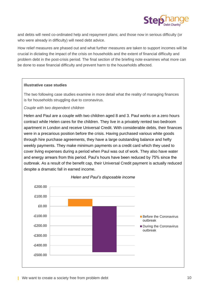

and debts will need co-ordinated help and repayment plans; and those now in serious difficulty (or who were already in difficulty) will need debt advice.

How relief measures are phased out and what further measures are taken to support incomes will be crucial in dictating the impact of the crisis on households and the extent of financial difficulty and problem debt in the post-crisis period. The final section of the briefing note examines what more can be done to ease financial difficulty and prevent harm to the households affected.

#### **Illustrative case studies**

The two following case studies examine in more detail what the reality of managing finances is for households struggling due to coronavirus.

*Couple with two dependent children*

Helen and Paul are a couple with two children aged 8 and 3. Paul works on a zero hours contract while Helen cares for the children. They live in a privately rented two bedroom apartment in London and receive Universal Credit. With considerable debts, their finances were in a precarious position before the crisis. Having purchased various white goods through hire purchase agreements, they have a large outstanding balance and hefty weekly payments. They make minimum payments on a credit card which they used to cover living expenses during a period when Paul was out of work. They also have water and energy arrears from this period. Paul's hours have been reduced by 75% since the outbreak. As a result of the benefit cap, their Universal Credit payment is actually reduced despite a dramatic fall in earned income.



#### *Helen and Paul's disposable income*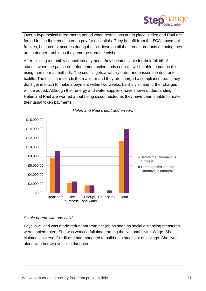

Over a hypothetical three-month period when restrictions are in place, Helen and Paul are forced to use their credit card to pay for essentials. They benefit from the FCA's payment freezes, but interest accrues during the lockdown on all their credit products meaning they are in deeper trouble as they emerge from the crisis.

After missing a monthly council tax payment, they become liable for their full bill. As it stands, when the pause on enforcement action ends councils will be able to pursue this using their normal methods. The council gets a liability order and passes the debt onto bailiffs. The bailiff firm sends them a letter and they are charged a compliance fee. If they don't get in touch to make a payment within two weeks, bailiffs visit and further charges will be added. Although their energy and water suppliers have shown understanding, Helen and Paul are worried about being disconnected as they have been unable to make their usual token payments.



### *Helen and Paul's debt and arrears*

#### *Single parent with one child*

Faye is 23 and was made redundant from her job as soon as social distancing measures were implemented. She was working full time earning the National Living Wage. She claimed Universal Credit and had managed to build up a small pot of savings. She lives alone with her two-year-old daughter.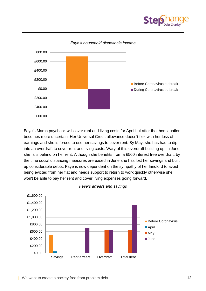



Faye's March paycheck will cover rent and living costs for April but after that her situation becomes more uncertain. Her Universal Credit allowance doesn't flex with her loss of earnings and she is forced to use her savings to cover rent. By May, she has had to dip into an overdraft to cover rent and living costs. Wary of this overdraft building up, in June she falls behind on her rent. Although she benefits from a £500 interest free overdraft, by the time social distancing measures are eased in June she has lost her savings and built up considerable debts. Faye is now dependent on the sympathy of her landlord to avoid being evicted from her flat and needs support to return to work quickly otherwise she won't be able to pay her rent and cover living expenses going forward.

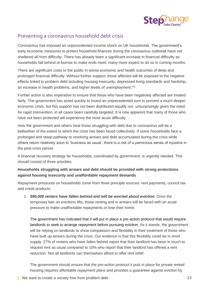

# Preventing a coronavirus household debt crisis

Coronavirus has imposed an unprecedented income shock on UK households. The government's early economic measures to protect household finances during the coronavirus outbreak have not sheltered all from difficulty. There has already been a significant increase in financial difficulty as households fall behind or borrow to make ends meet; many more expect to do so in coming months.

There are significant costs to the public in worse economic and health outcomes of deep and prolonged financial difficulty. Without further support, those affected will be exposed to the negative effects linked to problem debt including housing insecurity, depressed living standards and hardship, an increase in health problems, and higher levels of unemployment.<sup>xxii</sup>

Further action is also imperative to ensure that those who have been negatively affected are treated fairly. The government has acted quickly to invest an unprecedented sum to prevent a much deeper economic crisis, but this support has not been distributed equally nor, unsurprisingly given the need for rapid intervention, in all cases been carefully targeted. It is now apparent that many of those who have not been protected will experience the most acute difficulty.

How the government and others treat those struggling with debt due to coronavirus will be a bellwether of the extent to which the crisis has been faced collectively. If some households face a prolonged and steep pathway to resolving arrears and debt accumulated during the crisis while others return relatively soon to 'business as usual', there is a risk of a pernicious sense of injustice in the post-crisis period.

A financial recovery strategy for households, coordinated by government, is urgently needed. This should consist of three priorities:

## **Households struggling with arrears and debt should be provided with strong protections against housing insecurity and unaffordable repayment demands**

Repayment pressures on households come from three principle sources: rent payments, council tax and credit products:

1. *590,000 renters have fallen behind and will be worried about eviction.* Once the temporary ban on evictions lifts, those renting and in arrears will be faced with an acute pressure to make unaffordable repayments or lose their home.

The government has indicated that it will put in place a pre-action protocol that would require landlords to seek to arrange repayment before pursuing eviction. As it stands, the government will be relying on landlords to show compassion and flexibility in their treatment of those who have built up arrears during the crisis. Our evidence is that this flexibility could be in short supply: 27% of renters who have fallen behind report that their landlord has been in touch to request rent as usual compared to 10% who report that their landlord has offered a rent reduction. Not all landlords can themselves afford to offer rent relief.

The government should ensure that the pre-action protocol it puts in place for private rented housing requires affordable repayment plans and provides a guarantee against eviction by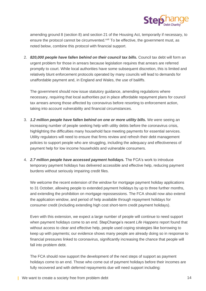

amending ground 8 (section 8) and section 21 of the Housing Act, temporarily if necessary, to ensure the protocol cannot be circumvented.<sup>xxiii</sup> To be effective, the government must, as noted below, combine this protocol with financial support.

2. *820,000 people have fallen behind on their council tax bills.* Council tax debt will form an urgent problem for those in arrears because legislation requires that arrears are referred promptly to court. While local authorities have some subsequent discretion, this is limited and relatively blunt enforcement protocols operated by many councils will lead to demands for unaffordable payment and, in England and Wales, the use of bailiffs.

The government should now issue statutory guidance, amending regulations where necessary, requiring that local authorities put in place affordable repayment plans for council tax arrears among those affected by coronavirus before resorting to enforcement action, taking into account vulnerability and financial circumstances.

- 3. *1.2 million people have fallen behind on one or more utility bills.* We were seeing an increasing number of people seeking help with utility debts before the coronavirus crisis, highlighting the difficulties many household face meeting payments for essential services. Utility regulators will need to ensure that firms review and refresh their debt management policies to support people who are struggling, including the adequacy and effectiveness of payment help for low income households and vulnerable consumers.
- 4. *2.7 million people have accessed payment holidays.* The FCA's work to introduce temporary payment holidays has delivered accessible and effective help, reducing payment burdens without seriously impairing credit files.

We welcome the recent extension of the window for mortgage payment holiday applications to 31 October, allowing people to extended payment holidays by up to three further months, and extending the prohibition on mortgage repossessions. The FCA should now also extend the application window, and period of help available through repayment holidays for consumer credit (including extending high cost short-term credit payment holidays).

Even with this extension, we expect a large number of people will continue to need support when payment holidays come to an end. StepChange's recent *Life Happens* report found that without access to clear and effective help, people used coping strategies like borrowing to keep up with payments; our evidence shows many people are already doing so in response to financial pressures linked to coronavirus, significantly increasing the chance that people will fall into problem debt.

The FCA should now support the development of the next steps of support as payment holidays come to an end. Those who come out of payment holidays before their incomes are fully recovered and with deferred repayments due will need support including: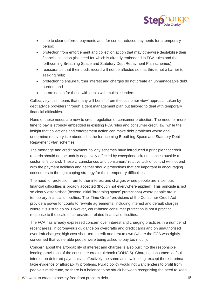

- time to clear deferred payments and, for some, reduced payments for a temporary period;
- protection from enforcement and collection action that may otherwise destabilise their financial situation (the need for which is already embedded in FCA rules and the forthcoming Breathing Space and Statutory Dept Repayment Plan schemes);
- reassurance that their credit record will not be affected so that this is not a barrier to seeking help;
- protection to ensure further interest and charges do not create an unmanageable debt burden; and
- co-ordination for those with debts with multiple lenders.

Collectively, this means that many will benefit from the 'customer view' approach taken by debt advice providers through a debt management plan but tailored to deal with temporary financial difficulties.

None of these needs are new to credit regulation or consumer protection. The need for more time to pay is strongly embedded in existing FCA rules and consumer credit law, while the insight that collections and enforcement action can make debt problems worse and undermine recovery is embedded in the forthcoming Breathing Space and Statutory Debt Repayment Plan schemes.

The mortgage and credit payment holiday schemes have introduced a principle that credit records should not be unduly negatively affected by exceptional circumstances outside a customer's control. These circumstances and consumers' relative lack of control will not end with the payment holidays and neither should protections that are important in encouraging consumers to the right coping strategy for their temporary difficulties.

The need for protection from further interest and charges where people are in serious financial difficulties is broadly accepted (though not everywhere applied). This principle is not so clearly established (beyond initial 'breathing space' protections) where people are in temporary financial difficulties. The 'Time Order' provisions of the Consumer Credit Act provide a power for courts to re-write agreements, including interest and default charges, where it is just to do so. However, court-based consumer protection is not a practical response to the scale of coronavirus-related financial difficulties.

The FCA has already expressed concern over interest and charging practices in a number of recent areas: in coronavirus guidance on overdrafts and credit cards and on unauthorised overdraft charges; high cost short-term credit and rent to own (where the FCA was rightly concerned that vulnerable people were being asked to pay too much).

Concern about the affordability of interest and charges is also built into the responsible lending provisions of the consumer credit rulebook (CONC 5). Charging consumers default interest on deferred payments is effectively the same as new lending, except there is prima facie evidence of affordability problems. Public policy would not want lenders to profit from people's misfortune, so there is a balance to be struck between recognising the need to keep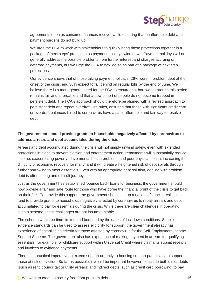

agreements open as consumer finances recover while ensuring that unaffordable debt and payment burdens do not build up.

We urge the FCA to work with stakeholders to quickly bring these protections together in a package of 'next steps' protection as payment holidays wind down. Payment holidays will not generally address the possible problems from further interest and charges accruing on deferred payments, but we urge the FCA to now do so as part of a package of next step protections.

Our evidence shows that of those taking payment holidays, 26% were in problem debt at the onset of the crisis, and 36% expect to fall behind on regular bills by the end of June. We believe there is a more general need for the FCA to ensure that borrowing through this period remains fair and affordable and that a new cohort of people do not become trapped in persistent debt. The FCA's approach should therefore be aligned with a revised approach to persistent debt and repeat overdraft use rules, ensuring that those with significant credit card or overdraft balances linked to coronavirus have a safe, affordable and fair way to resolve debt.

# **The government should provide grants to households negatively affected by coronavirus to address arrears and debt accumulated during the crisis**

Arrears and debt accumulated during the crisis will not simply unwind safely, even with extended protections in place to prevent eviction and enforcement action: repayments will substantially reduce income, exacerbating poverty; drive mental health problems and poor physical health, increasing the difficulty of economic recovery for many; and it will create a heightened risk of debt spirals through further borrowing to meet essentials. Even with an appropriate debt solution, dealing with problem debt is often a long and difficult journey.

Just as the government has established 'bounce back' loans for business, the government should now provide a fair and safe route for those who have borne the financial brunt of the crisis to get back on their feet. To provide this support, the government should set up a national financial resilience fund to provide grants to households negatively affected by coronavirus to repay arrears and debt accumulated to pay for essentials during the crisis. While there are clear challenges in operating such a scheme, these challenges are not insurmountable.

The scheme would be time-limited and bounded by the dates of lockdown conditions. Simple evidence standards can be used to assess eligibility for support: the government already has experience of establishing criteria for those affected by coronavirus for the Self-Employment Income Support Scheme. The government also has experience of making payment in arrears for qualifying essentials, for example for childcare support within Universal Credit where claimants submit receipts and invoices to evidence payments.

There is a practical imperative to extend support urgently to housing support particularly to support those at risk of eviction. So far as possible, it would be important however to include both direct debts (such as rent, council tax or utility arrears) and indirect debts, such as credit card borrowing, to pay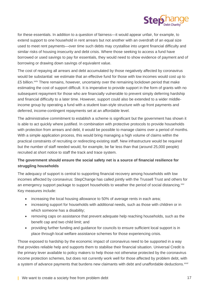

for these essentials. In addition to a question of fairness—it would appear unfair, for example, to extend support to one household in rent arrears but not another with an overdraft of an equal size used to meet rent payments—over time such debts may crystallise into urgent financial difficulty and similar risks of housing insecurity and debt crisis. Where those seeking to access a fund have borrowed or used savings to pay for essentials, they would need to show evidence of payment and of borrowing or drawing down savings of equivalent value.

The cost of repaying all arrears and debt accumulated by those negatively affected by coronavirus would be substantial: we estimate that an effective fund for those with low incomes would cost up to £5 billion.<sup>xxiv</sup> There remains, however, uncertainty over the remaining lockdown period that make estimating the cost of support difficult. It is imperative to provide support in the form of grants with no subsequent repayment for those who are financially vulnerable to prevent simply deferring hardship and financial difficulty to a later time. However, support could also be extended to a wider middleincome group by operating a fund with a student loan-style structure with up front payments and deferred, income-contingent repayments set at an affordable level.

The administrative commitment to establish a scheme is significant but the government has shown it is able to act quickly where justified. In combination with protective protocols to provide households with protection from arrears and debt, it would be possible to manage claims over a period of months. With a simple application process, this would bring managing a high volume of claims within the practical constraints of recruiting or redirecting existing staff. New infrastructure would be required but the number of staff needed would, for example, be far less than that (around 25,000 people) recruited at short notice to staff the track and trace system.

## **The government should ensure the social safety net is a source of financial resilience for struggling households**

The adequacy of support is central to supporting financial recovery among households with low incomes affected by coronavirus: StepChange has called jointly with the Trussell Trust and others for an emergency support package to support households to weather the period of social distancing. XXV Key measures include:

- increasing the local housing allowance to 50% of average rents in each area;
- increasing support for households with additional needs, such as those with children or in which someone has a disability;
- removing caps on assistance that prevent adequate help reaching households, such as the benefit cap and two child limit; and
- providing further funding and guidance for councils to ensure sufficient local support is in place through local welfare assistance schemes for those experiencing crisis.

Those exposed to hardship by the economic impact of coronavirus need to be supported in a way that provides reliable help and supports them to stabilise their financial situation. Universal Credit is the primary lever available to policy makers to help those not otherwise protected by the coronavirus income protection schemes, but does not currently work well for those affected by problem debt, with a system of advance payments that burdens new claimants with debt and unaffordable deductions. XXVi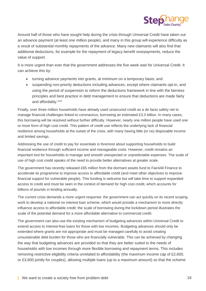

Around half of those who have sought help during the crisis through Universal Credit have taken out an advance payment (at least one million people), and many in this group will experience difficulty as a result of substantial monthly repayments of the advance. Many new claimants will also find that additional deductions, for example for the repayment of legacy benefit overpayments, reduce the value of support.

It is more urgent than ever that the government addresses the five week wait for Universal Credit. It can achieve this by:

- turning advance payments into grants, at minimum on a temporary basis; and
- suspending non-priority deductions including advances, except where claimants opt-in, and using the period of suspension to reform the deductions framework in line with the fairness principles and best practice in debt management to ensure that deductions are made fairly and affordably.xxvii

Finally, over three million households have already used unsecured credit as a de facto safety net to manage financial challenges linked to coronavirus, borrowing an estimated £3.3 billion. In many cases, this borrowing will be resolved without further difficulty. However, nearly one million people have used one or more form of high cost credit. This pattern of credit use reflects the underlying lack of financial resilience among households at the outset of the crisis, with many having little (or no) disposable income and limited savings.

Addressing the use of credit to pay for essentials is foremost about supporting households to build financial resilience through sufficient income and manageable costs. However, credit remains an important tool for households to manage and smooth unexpected or unpredictable expenses. The scale of use of high cost credit speaks of the need to provide better alternatives at greater scale.

The government has recently released £65 million from the dormant assets fund to Fair4All Finance to accelerate its programme to improve access to affordable credit (and meet other objectives to improve financial support for vulnerable people). This funding is welcome but will take time to support expanded access to credit and must be seen in the context of demand for high cost credit, which accounts for billions of pounds in lending annually.

The current crisis demands a more urgent response: the government can act quickly on its recent scoping work to develop a national no interest loan scheme, which would provide a mechanism to more directly influence access to affordable credit: the scale of borrowing during the lockdown period illustrates the scale of the potential demand for a more affordable alternative to commercial credit.

The government can also use the existing mechanism of budgeting advances within Universal Credit to extend access to interest-free loans for those with low incomes. Budgeting advances should only be extended where grants are not appropriate and must be managed carefully to avoid creating unsustainable debt burden for those who are financially vulnerable. This can be achieved by changing the way that budgeting advances are provided so that they are better suited to the needs of households with low incomes through more flexible borrowing and repayment terms. This includes removing restrictive eligibility criteria unrelated to affordability (the maximum income cap of £2,600, or £3,600 jointly for couples), allowing multiple loans (up to a maximum amount) so that the scheme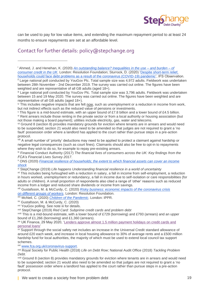

can be used to pay for low value items, and extending the maximum repayment period to at least 24 months to ensure repayments are set at an affordable level.

# Contact for further details: [policy@stepchange.org](mailto:policy@stepchange.org)

iii Large national poll conducted by YouGov Plc. Total sample size was 3,796 adults. Fieldwork was undertaken between 15 and 19 May 2020. The survey was carried out online. The figures have been weighted and are representative of all GB adults (aged 18+).

iv This includes negative impacts that are felt now, such as unemployment or a reduction in income from work, but not indirect effects such as the reduced value of pensions or investments.

<sup>v</sup> This figure is a mid-bound estimate, with an upper bound of £7.8 billion and a lower bound of £4.5 billion. vi Rent arrears include those renting in the private sector or from a local authority or housing association (but not those making a board payment); utilities include electricity, gas, water and telecoms.

vii Ground 8 (section 8) provides mandatory grounds for eviction where tenants are in arrears and would need to be suspended; section 21 would also need to be amended so that judges are not required to grant a 'no fault' possession order where a landlord has applied to the court rather than pursue steps in a pre-action protocol.

<sup>viii</sup> A small number of 'priority' deductions may need to be applied to protect a claimant against hardship or negative legal consequences (such as court fines). Claimants should also be free to opt-in to repayments where they wish to do so, for example to repay pre-existing arrears.

ix Financial Conduct Authority (2017) *The financial lives of consumers across the UK: Key findings from the FCA's Financial Lives Survey 2017*.

<sup>x</sup> ONS (2020) *[Financial resilience of households; the extent to which financial assets can cover an income](https://www.ons.gov.uk/peoplepopulationandcommunity/personalandhouseholdfinances/incomeandwealth/articles/financialresilienceofhouseholdstheextenttowhichfinancialassetscancoveranincomeshock/2020-04-02)  [shock](https://www.ons.gov.uk/peoplepopulationandcommunity/personalandhouseholdfinances/incomeandwealth/articles/financialresilienceofhouseholdstheextenttowhichfinancialassetscancoveranincomeshock/2020-04-02)*

xi StepChange (2019) *Life happens Understanding financial resilience in a world of uncertainty*

xii This includes being furloughed with a reduction in salary, a fall in income from self-employment, a reduction in hours worked, unemployment or redundancy, a fall in income due to self-isolation or care responsibilities (for adults or children). A small proportion of respondents also cited a range of 'other' reasons such as reduced income from a lodger and reduced share dividends or income from savings.

xiii Gustafsson, M. & McCurdy, C. (2020) *[Risky business: economic impacts of the coronavirus crisis](https://www.resolutionfoundation.org/app/uploads/2019/10/Risky-business.pdf) [on different groups of workers](https://www.resolutionfoundation.org/app/uploads/2019/10/Risky-business.pdf)*. London: Resolution Foundation.

xiv McNeil, C. (2020) *[Children of the Pandemic](https://www.ippr.org/research/publications/children-of-the-pandemic)*. London: IPPR.

xv Gustafsson, M. & McCurdy, C. (2020)

xvi YouGov polling. See note iii for details.

xvii StepChange (2019) *Red Card: Subprime credit cards and problem debt*

xviii This is a mid-bound estimate, with a lower bound of £729 (borrowing) and £793 (arrears) and an upper bound of £1,266 (borrowing) and £1,360 (arrears).

xix UK Finance, 29 May 2020, ['Lenders approve almost 1.5 million payment holidays on credit cards and](https://www.ukfinance.org.uk/press/press-releases/lenders-approve-almost-1.5%20million-payment-holidays)  [personal loans'](https://www.ukfinance.org.uk/press/press-releases/lenders-approve-almost-1.5%20million-payment-holidays)

xx Support through the social safety net includes an increase in the Universal Credit standard allowance of around £20 each week, and increase in local housing allowance to 30% of average rents and a £500 million hardship fund for local authorities, the majority of which must be used to extend local council tax support schemes.

xxi [www.fca.org.uk/coronavirus-support.](https://www.fca.org.uk/coronavirus-support)

xxii Royal Society for Public Health (2018) *Life on Debt Row*; National Audit Office (2018) *Tackling Problem Debt*.

xxiii Ground 8 (section 8) provides mandatory grounds for eviction where tenants are in arrears and would need to be suspended; section 21 would also need to be amended so that judges are not required to grant a 'no fault' possession order where a landlord has applied to the court rather than pursue steps in a pre-action protocol.

<sup>i</sup> Ahmed, J. and Henehan, K. (2020) *[An outstanding balance? Inequalities in the use –](https://www.resolutionfoundation.org/publications/an-outstanding-balance/) and burden – of [consumer credit in the UK](https://www.resolutionfoundation.org/publications/an-outstanding-balance/)*. London: Resolution Foundation; Sturrock, D. (2020) ['Despite short-term relief,](https://www.ifs.org.uk/publications/14820)  [households could face debt problems as a result of the coronavirus \(COVID-19\) pandemic',](https://www.ifs.org.uk/publications/14820) IFS Observation.

<sup>&</sup>lt;sup>ii</sup> Large national poll conducted by YouGov Plc. Total sample size was 4,972 adults. Fieldwork was undertaken between 28th November - 2nd December 2019. The survey was carried out online. The figures have been weighted and are representative of all GB adults (aged 18+).